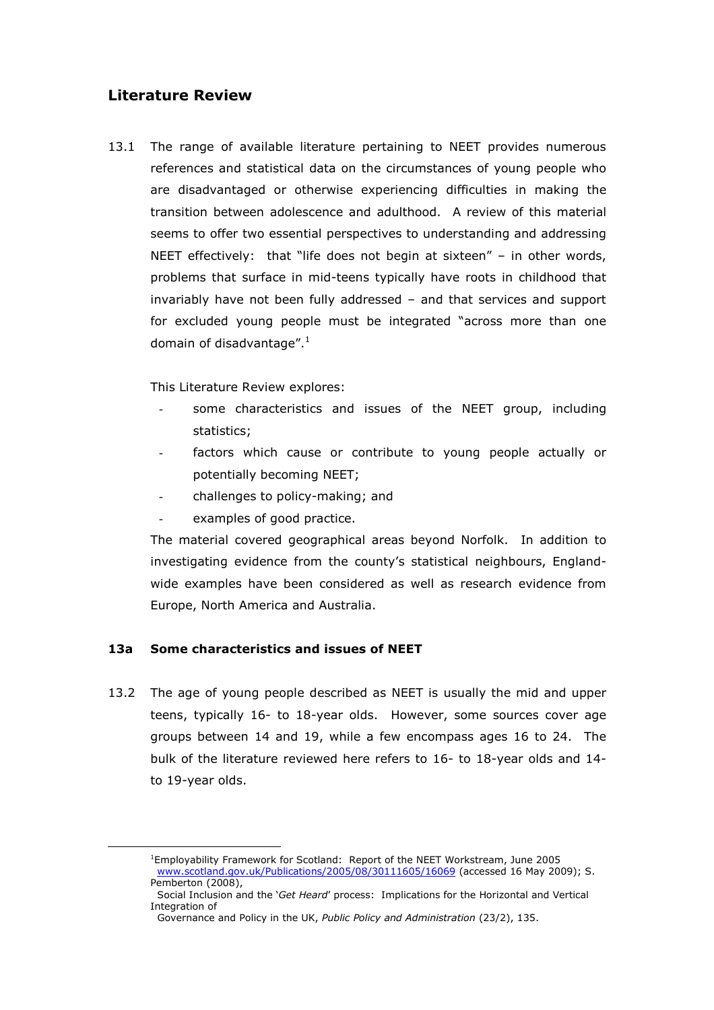### Literature Review

13.1 The range of available literature pertaining to NEET provides numerous references and statistical data on the circumstances of young people who are disadvantaged or otherwise experiencing difficulties in making the transition between adolescence and adulthood. A review of this material seems to offer two essential perspectives to understanding and addressing NEET effectively: that "life does not begin at sixteen" – in other words, problems that surface in mid-teens typically have roots in childhood that invariably have not been fully addressed – and that services and support for excluded young people must be integrated "across more than one domain of disadvantage".<sup>1</sup>

This Literature Review explores:

- some characteristics and issues of the NEET group, including statistics;
- factors which cause or contribute to young people actually or potentially becoming NEET;
- challenges to policy-making; and
- examples of good practice.

 The material covered geographical areas beyond Norfolk. In addition to investigating evidence from the county's statistical neighbours, Englandwide examples have been considered as well as research evidence from Europe, North America and Australia.

### 13a Some characteristics and issues of NEET

 $\overline{a}$ 

13.2 The age of young people described as NEET is usually the mid and upper teens, typically 16- to 18-year olds. However, some sources cover age groups between 14 and 19, while a few encompass ages 16 to 24. The bulk of the literature reviewed here refers to 16- to 18-year olds and 14 to 19-year olds.

<sup>&</sup>lt;sup>1</sup>Employability Framework for Scotland: Report of the NEET Workstream, June 2005 www.scotland.gov.uk/Publications/2005/08/30111605/16069 (accessed 16 May 2009); S. Pemberton (2008),

Social Inclusion and the 'Get Heard' process: Implications for the Horizontal and Vertical Integration of

Governance and Policy in the UK, Public Policy and Administration (23/2), 135.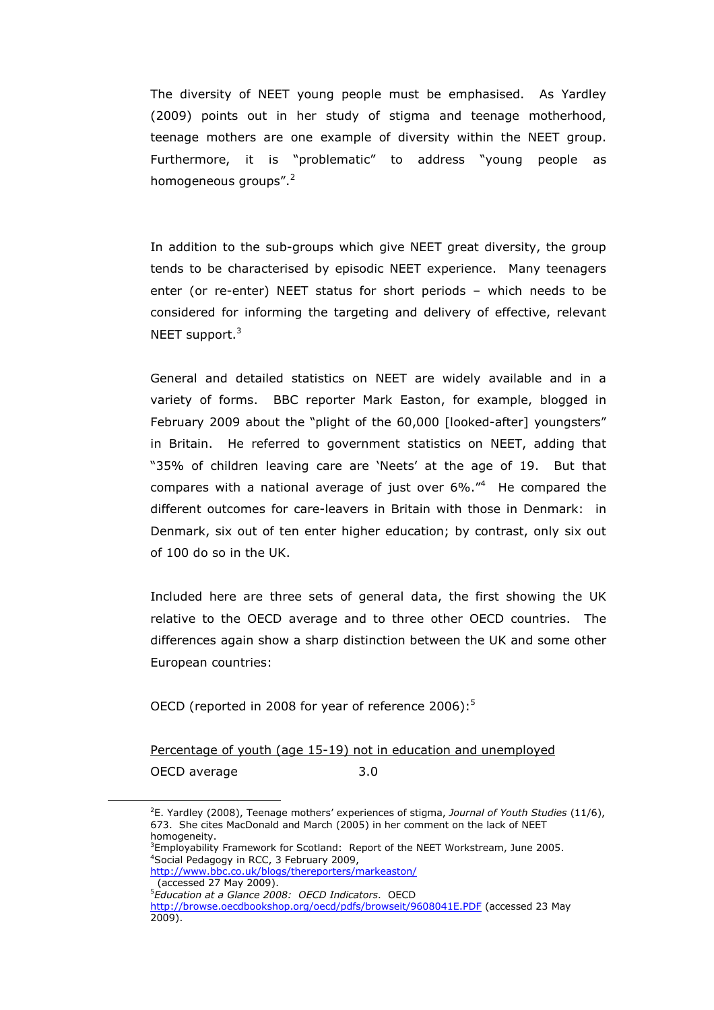The diversity of NEET young people must be emphasised. As Yardley (2009) points out in her study of stigma and teenage motherhood, teenage mothers are one example of diversity within the NEET group. Furthermore, it is "problematic" to address "young people as homogeneous groups".<sup>2</sup>

 In addition to the sub-groups which give NEET great diversity, the group tends to be characterised by episodic NEET experience. Many teenagers enter (or re-enter) NEET status for short periods – which needs to be considered for informing the targeting and delivery of effective, relevant NEET support.<sup>3</sup>

 General and detailed statistics on NEET are widely available and in a variety of forms. BBC reporter Mark Easton, for example, blogged in February 2009 about the "plight of the 60,000 [looked-after] youngsters" in Britain. He referred to government statistics on NEET, adding that "35% of children leaving care are 'Neets' at the age of 19. But that compares with a national average of just over 6%."<sup>4</sup> He compared the different outcomes for care-leavers in Britain with those in Denmark: in Denmark, six out of ten enter higher education; by contrast, only six out of 100 do so in the UK.

 Included here are three sets of general data, the first showing the UK relative to the OECD average and to three other OECD countries. The differences again show a sharp distinction between the UK and some other European countries:

OECD (reported in 2008 for year of reference 2006):<sup>5</sup>

<sup>3</sup>Employability Framework for Scotland: Report of the NEET Workstream, June 2005. <sup>4</sup>Social Pedagogy in RCC, 3 February 2009,

http://www.bbc.co.uk/blogs/thereporters/markeaston/ (accessed 27 May 2009).

 $\overline{a}$ 

Percentage of youth (age 15-19) not in education and unemployed OECD average 3.0

<sup>&</sup>lt;sup>2</sup>E. Yardley (2008), Teenage mothers' experiences of stigma, Journal of Youth Studies (11/6), 673. She cites MacDonald and March (2005) in her comment on the lack of NEET homogeneity.

 $5$ Education at a Glance 2008: OECD Indicators. OECD http://browse.oecdbookshop.org/oecd/pdfs/browseit/9608041E.PDF (accessed 23 May 2009).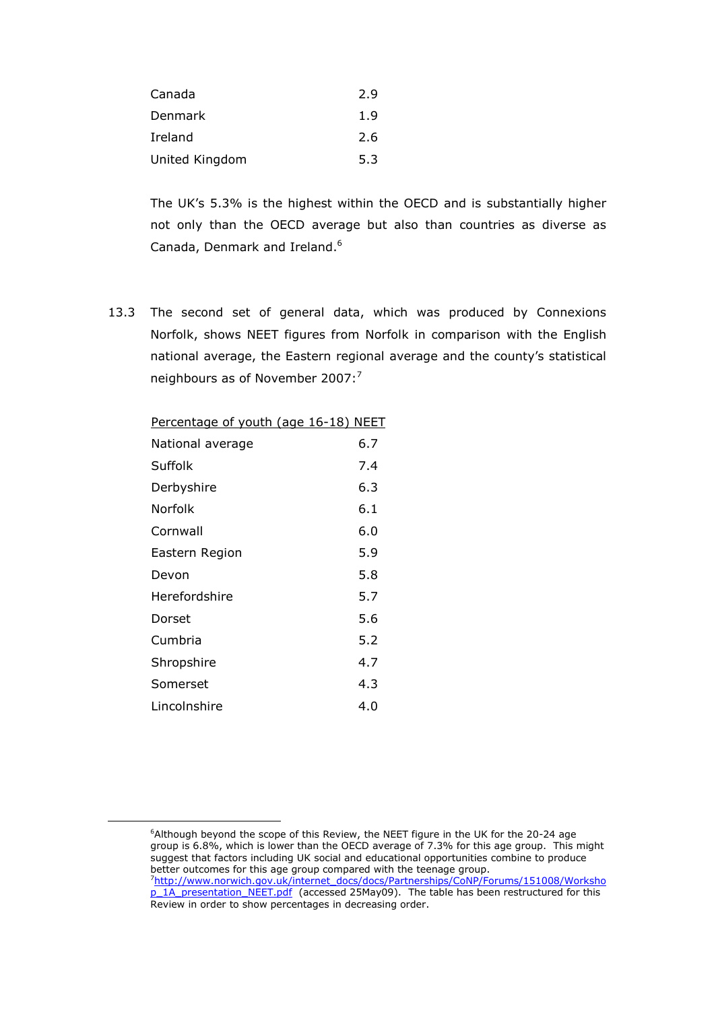| Canada         | 2.9 |
|----------------|-----|
| Denmark        | 1.9 |
| Ireland        | 2.6 |
| United Kingdom | 5.3 |

 The UK's 5.3% is the highest within the OECD and is substantially higher not only than the OECD average but also than countries as diverse as Canada, Denmark and Ireland.<sup>6</sup>

13.3 The second set of general data, which was produced by Connexions Norfolk, shows NEET figures from Norfolk in comparison with the English national average, the Eastern regional average and the county's statistical neighbours as of November 2007:<sup>7</sup>

| Percentage of youth (age 16-18) NEET |     |
|--------------------------------------|-----|
| National average                     | 6.7 |
| Suffolk                              | 7.4 |
| Derbyshire                           | 6.3 |
| Norfolk                              | 6.1 |
| Cornwall                             | 6.0 |
| Eastern Region                       | 5.9 |
| Devon                                | 5.8 |
| Herefordshire                        | 5.7 |
| Dorset                               | 5.6 |
| Cumbria                              | 5.2 |
| Shropshire                           | 4.7 |
| Somerset                             | 4.3 |
| Lincolnshire                         | 4.0 |
|                                      |     |

 $\overline{a}$ 

 $6$ Although beyond the scope of this Review, the NEET figure in the UK for the 20-24 age group is 6.8%, which is lower than the OECD average of 7.3% for this age group. This might suggest that factors including UK social and educational opportunities combine to produce better outcomes for this age group compared with the teenage group. <sup>7</sup>http://www.norwich.gov.uk/internet\_docs/docs/Partnerships/CoNP/Forums/151008/Worksho p\_1A\_presentation\_NEET.pdf (accessed 25May09). The table has been restructured for this Review in order to show percentages in decreasing order.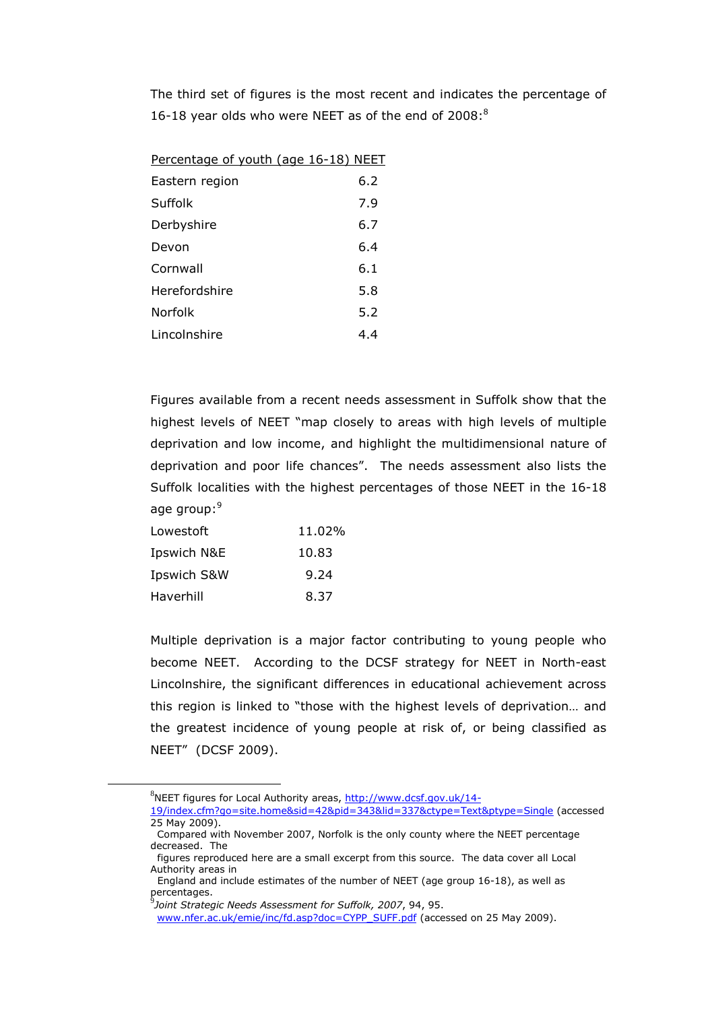The third set of figures is the most recent and indicates the percentage of 16-18 year olds who were NEET as of the end of 2008: $^8$ 

| Percentage of youth (age 16-18) NEET |     |
|--------------------------------------|-----|
| Eastern region                       | 6.2 |
| Suffolk                              | 7.9 |
| Derbyshire                           | 6.7 |
| Devon                                | 6.4 |
| Cornwall                             | 6.1 |
| Herefordshire                        | 5.8 |
| Norfolk                              | 5.2 |
| l incolnshire                        | 44  |
|                                      |     |

 Figures available from a recent needs assessment in Suffolk show that the highest levels of NEET "map closely to areas with high levels of multiple deprivation and low income, and highlight the multidimensional nature of deprivation and poor life chances". The needs assessment also lists the Suffolk localities with the highest percentages of those NEET in the 16-18 age group:<sup>9</sup>

| Lowestoft   | 11.02% |
|-------------|--------|
| Ipswich N&E | 10.83  |
| Ipswich S&W | 9.24   |
| Haverhill   | 8.37   |

 $\overline{a}$ 

 Multiple deprivation is a major factor contributing to young people who become NEET. According to the DCSF strategy for NEET in North-east Lincolnshire, the significant differences in educational achievement across this region is linked to "those with the highest levels of deprivation… and the greatest incidence of young people at risk of, or being classified as NEET" (DCSF 2009).

<sup>&</sup>lt;sup>8</sup>NEET figures for Local Authority areas, http://www.dcsf.gov.uk/14-

<sup>19/</sup>index.cfm?go=site.home&sid=42&pid=343&lid=337&ctype=Text&ptype=Single (accessed 25 May 2009).

Compared with November 2007, Norfolk is the only county where the NEET percentage decreased. The

figures reproduced here are a small excerpt from this source. The data cover all Local Authority areas in

England and include estimates of the number of NEET (age group 16-18), as well as percentages.

<sup>&</sup>lt;sup>9</sup>Joint Strategic Needs Assessment for Suffolk, 2007, 94, 95.

www.nfer.ac.uk/emie/inc/fd.asp?doc=CYPP\_SUFF.pdf (accessed on 25 May 2009).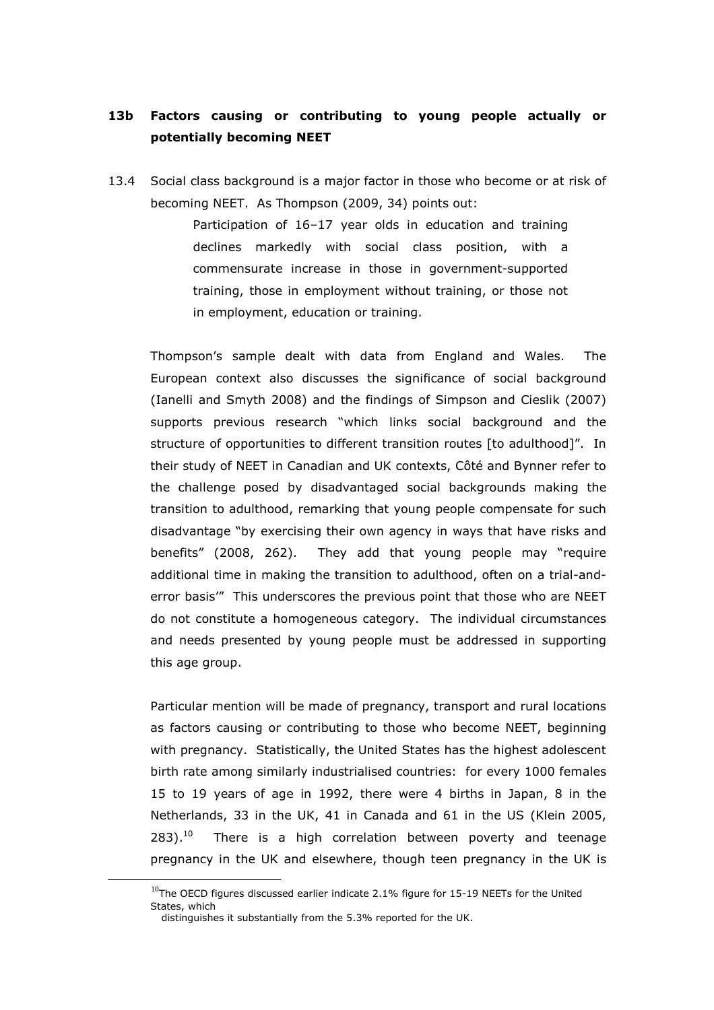## 13b Factors causing or contributing to young people actually or potentially becoming NEET

13.4 Social class background is a major factor in those who become or at risk of becoming NEET. As Thompson (2009, 34) points out:

> Participation of 16–17 year olds in education and training declines markedly with social class position, with a commensurate increase in those in government-supported training, those in employment without training, or those not in employment, education or training.

 Thompson's sample dealt with data from England and Wales. The European context also discusses the significance of social background (Ianelli and Smyth 2008) and the findings of Simpson and Cieslik (2007) supports previous research "which links social background and the structure of opportunities to different transition routes [to adulthood]". In their study of NEET in Canadian and UK contexts, Côté and Bynner refer to the challenge posed by disadvantaged social backgrounds making the transition to adulthood, remarking that young people compensate for such disadvantage "by exercising their own agency in ways that have risks and benefits" (2008, 262). They add that young people may "require additional time in making the transition to adulthood, often on a trial-anderror basis'" This underscores the previous point that those who are NEET do not constitute a homogeneous category. The individual circumstances and needs presented by young people must be addressed in supporting this age group.

 Particular mention will be made of pregnancy, transport and rural locations as factors causing or contributing to those who become NEET, beginning with pregnancy. Statistically, the United States has the highest adolescent birth rate among similarly industrialised countries: for every 1000 females 15 to 19 years of age in 1992, there were 4 births in Japan, 8 in the Netherlands, 33 in the UK, 41 in Canada and 61 in the US (Klein 2005,  $283$ ).<sup>10</sup> There is a high correlation between poverty and teenage pregnancy in the UK and elsewhere, though teen pregnancy in the UK is

 $\overline{a}$ 

 $10$ The OECD figures discussed earlier indicate 2.1% figure for 15-19 NEETs for the United States, which

distinguishes it substantially from the 5.3% reported for the UK.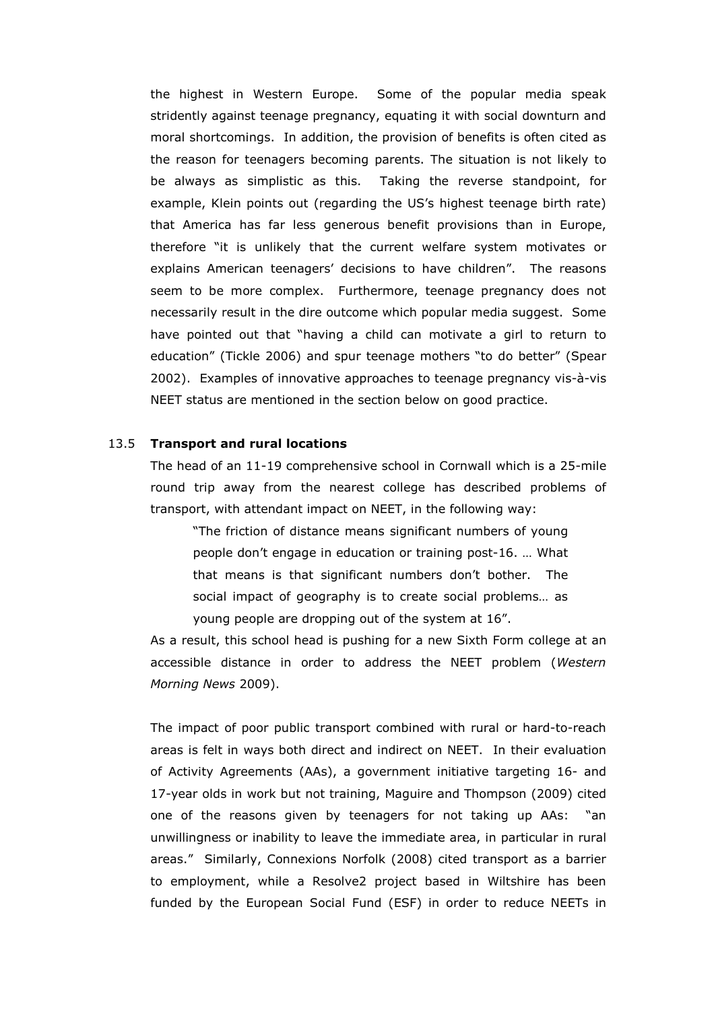the highest in Western Europe. Some of the popular media speak stridently against teenage pregnancy, equating it with social downturn and moral shortcomings. In addition, the provision of benefits is often cited as the reason for teenagers becoming parents. The situation is not likely to be always as simplistic as this. Taking the reverse standpoint, for example, Klein points out (regarding the US's highest teenage birth rate) that America has far less generous benefit provisions than in Europe, therefore "it is unlikely that the current welfare system motivates or explains American teenagers' decisions to have children". The reasons seem to be more complex. Furthermore, teenage pregnancy does not necessarily result in the dire outcome which popular media suggest. Some have pointed out that "having a child can motivate a girl to return to education" (Tickle 2006) and spur teenage mothers "to do better" (Spear 2002). Examples of innovative approaches to teenage pregnancy vis-à-vis NEET status are mentioned in the section below on good practice.

#### 13.5 Transport and rural locations

 The head of an 11-19 comprehensive school in Cornwall which is a 25-mile round trip away from the nearest college has described problems of transport, with attendant impact on NEET, in the following way:

 "The friction of distance means significant numbers of young people don't engage in education or training post-16. … What that means is that significant numbers don't bother. The social impact of geography is to create social problems… as young people are dropping out of the system at 16".

 As a result, this school head is pushing for a new Sixth Form college at an accessible distance in order to address the NEET problem (Western Morning News 2009).

 The impact of poor public transport combined with rural or hard-to-reach areas is felt in ways both direct and indirect on NEET. In their evaluation of Activity Agreements (AAs), a government initiative targeting 16- and 17-year olds in work but not training, Maguire and Thompson (2009) cited one of the reasons given by teenagers for not taking up AAs: "an unwillingness or inability to leave the immediate area, in particular in rural areas." Similarly, Connexions Norfolk (2008) cited transport as a barrier to employment, while a Resolve2 project based in Wiltshire has been funded by the European Social Fund (ESF) in order to reduce NEETs in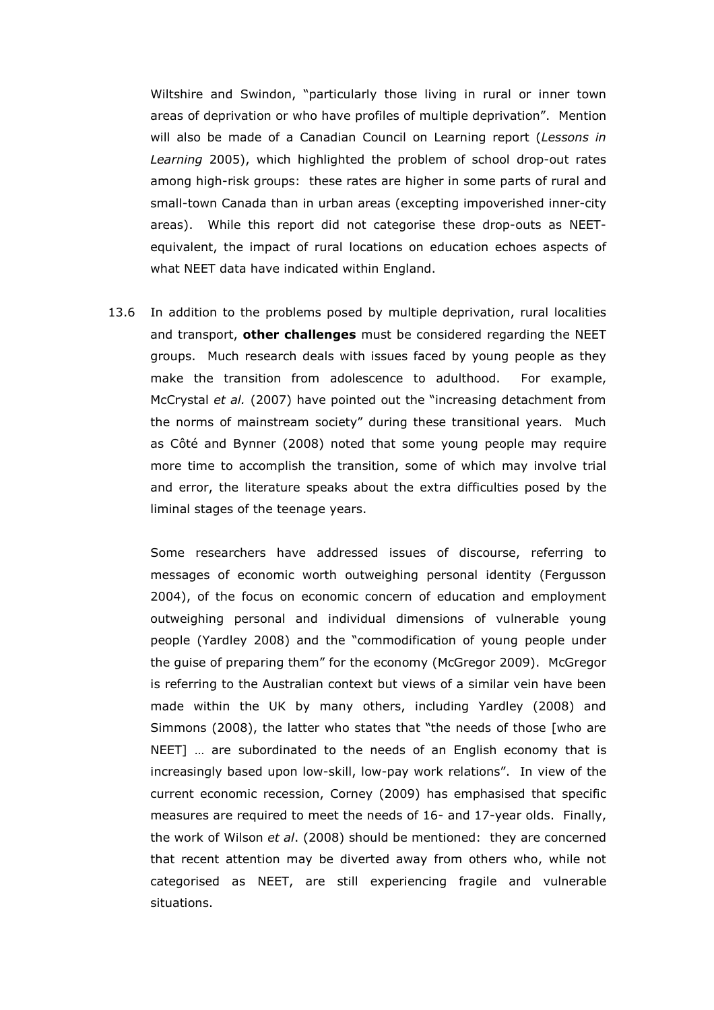Wiltshire and Swindon, "particularly those living in rural or inner town areas of deprivation or who have profiles of multiple deprivation". Mention will also be made of a Canadian Council on Learning report (Lessons in Learning 2005), which highlighted the problem of school drop-out rates among high-risk groups: these rates are higher in some parts of rural and small-town Canada than in urban areas (excepting impoverished inner-city areas). While this report did not categorise these drop-outs as NEETequivalent, the impact of rural locations on education echoes aspects of what NEET data have indicated within England.

13.6 In addition to the problems posed by multiple deprivation, rural localities and transport, other challenges must be considered regarding the NEET groups. Much research deals with issues faced by young people as they make the transition from adolescence to adulthood. For example, McCrystal et al. (2007) have pointed out the "increasing detachment from the norms of mainstream society" during these transitional years. Much as Côté and Bynner (2008) noted that some young people may require more time to accomplish the transition, some of which may involve trial and error, the literature speaks about the extra difficulties posed by the liminal stages of the teenage years.

 Some researchers have addressed issues of discourse, referring to messages of economic worth outweighing personal identity (Fergusson 2004), of the focus on economic concern of education and employment outweighing personal and individual dimensions of vulnerable young people (Yardley 2008) and the "commodification of young people under the guise of preparing them" for the economy (McGregor 2009). McGregor is referring to the Australian context but views of a similar vein have been made within the UK by many others, including Yardley (2008) and Simmons (2008), the latter who states that "the needs of those [who are NEET] … are subordinated to the needs of an English economy that is increasingly based upon low-skill, low-pay work relations". In view of the current economic recession, Corney (2009) has emphasised that specific measures are required to meet the needs of 16- and 17-year olds. Finally, the work of Wilson et al. (2008) should be mentioned: they are concerned that recent attention may be diverted away from others who, while not categorised as NEET, are still experiencing fragile and vulnerable situations.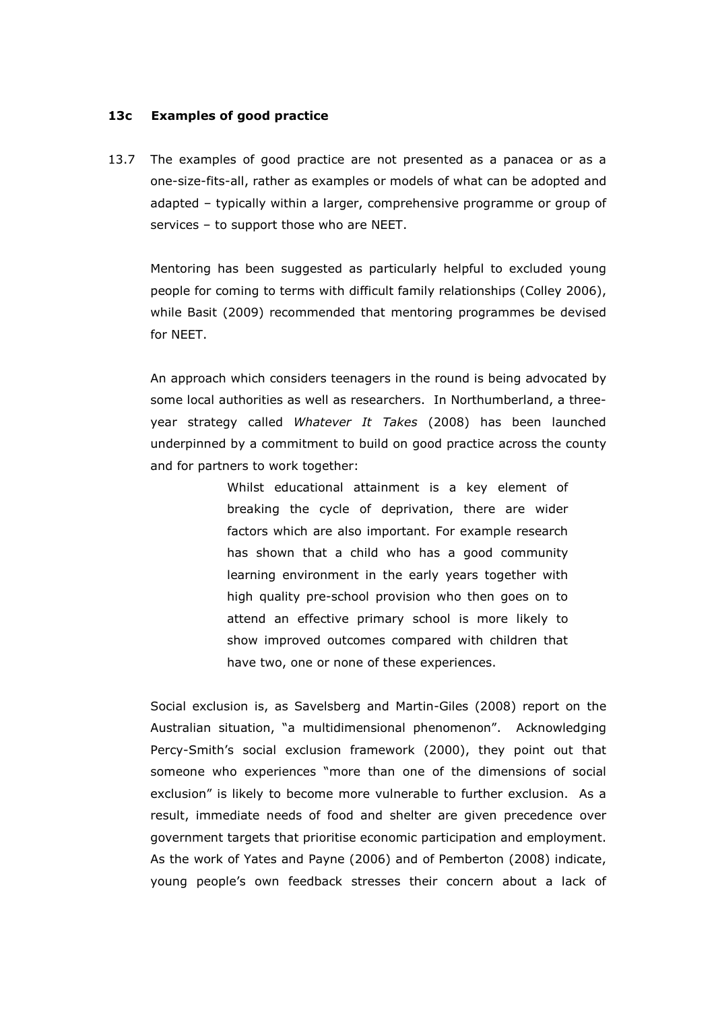#### 13c Examples of good practice

13.7 The examples of good practice are not presented as a panacea or as a one-size-fits-all, rather as examples or models of what can be adopted and adapted – typically within a larger, comprehensive programme or group of services – to support those who are NEET.

 Mentoring has been suggested as particularly helpful to excluded young people for coming to terms with difficult family relationships (Colley 2006), while Basit (2009) recommended that mentoring programmes be devised for NEET.

 An approach which considers teenagers in the round is being advocated by some local authorities as well as researchers. In Northumberland, a threeyear strategy called Whatever It Takes (2008) has been launched underpinned by a commitment to build on good practice across the county and for partners to work together:

> Whilst educational attainment is a key element of breaking the cycle of deprivation, there are wider factors which are also important. For example research has shown that a child who has a good community learning environment in the early years together with high quality pre-school provision who then goes on to attend an effective primary school is more likely to show improved outcomes compared with children that have two, one or none of these experiences.

 Social exclusion is, as Savelsberg and Martin-Giles (2008) report on the Australian situation, "a multidimensional phenomenon". Acknowledging Percy-Smith's social exclusion framework (2000), they point out that someone who experiences "more than one of the dimensions of social exclusion" is likely to become more vulnerable to further exclusion. As a result, immediate needs of food and shelter are given precedence over government targets that prioritise economic participation and employment. As the work of Yates and Payne (2006) and of Pemberton (2008) indicate, young people's own feedback stresses their concern about a lack of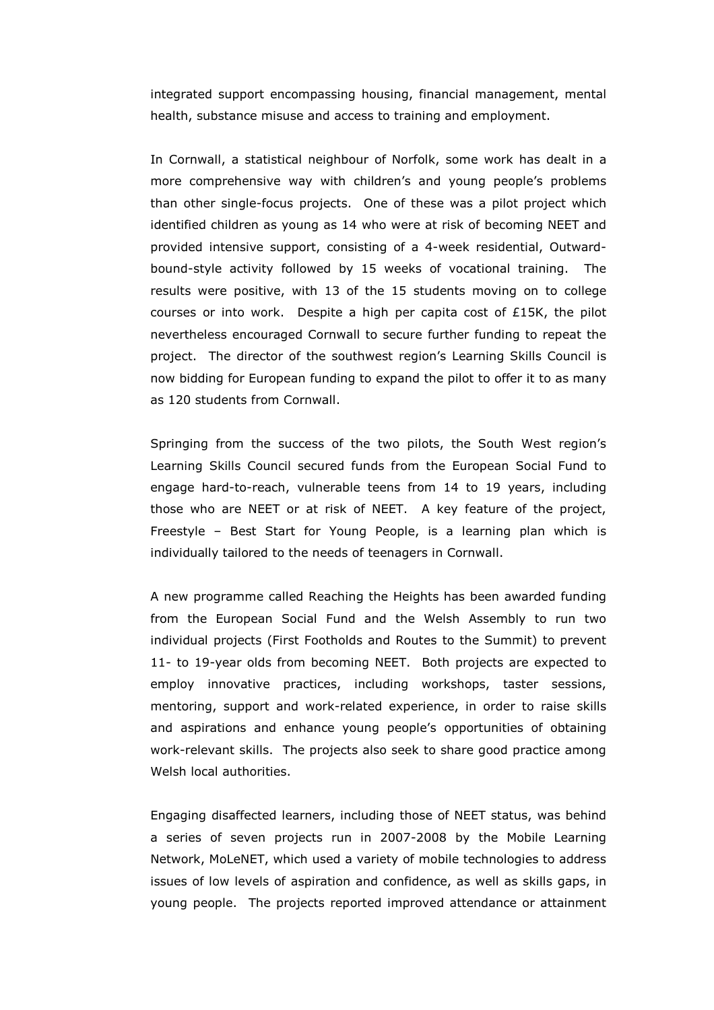integrated support encompassing housing, financial management, mental health, substance misuse and access to training and employment.

 In Cornwall, a statistical neighbour of Norfolk, some work has dealt in a more comprehensive way with children's and young people's problems than other single-focus projects. One of these was a pilot project which identified children as young as 14 who were at risk of becoming NEET and provided intensive support, consisting of a 4-week residential, Outwardbound-style activity followed by 15 weeks of vocational training. The results were positive, with 13 of the 15 students moving on to college courses or into work. Despite a high per capita cost of  $£15K$ , the pilot nevertheless encouraged Cornwall to secure further funding to repeat the project. The director of the southwest region's Learning Skills Council is now bidding for European funding to expand the pilot to offer it to as many as 120 students from Cornwall.

 Springing from the success of the two pilots, the South West region's Learning Skills Council secured funds from the European Social Fund to engage hard-to-reach, vulnerable teens from 14 to 19 years, including those who are NEET or at risk of NEET. A key feature of the project, Freestyle – Best Start for Young People, is a learning plan which is individually tailored to the needs of teenagers in Cornwall.

 A new programme called Reaching the Heights has been awarded funding from the European Social Fund and the Welsh Assembly to run two individual projects (First Footholds and Routes to the Summit) to prevent 11- to 19-year olds from becoming NEET. Both projects are expected to employ innovative practices, including workshops, taster sessions, mentoring, support and work-related experience, in order to raise skills and aspirations and enhance young people's opportunities of obtaining work-relevant skills. The projects also seek to share good practice among Welsh local authorities.

 Engaging disaffected learners, including those of NEET status, was behind a series of seven projects run in 2007-2008 by the Mobile Learning Network, MoLeNET, which used a variety of mobile technologies to address issues of low levels of aspiration and confidence, as well as skills gaps, in young people. The projects reported improved attendance or attainment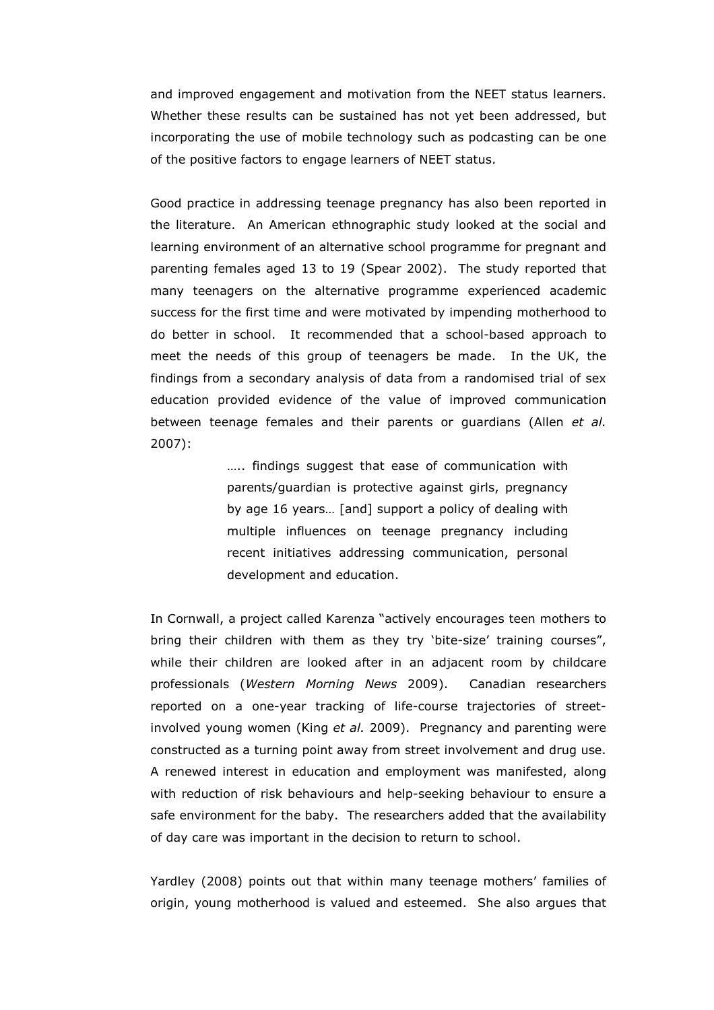and improved engagement and motivation from the NEET status learners. Whether these results can be sustained has not yet been addressed, but incorporating the use of mobile technology such as podcasting can be one of the positive factors to engage learners of NEET status.

 Good practice in addressing teenage pregnancy has also been reported in the literature. An American ethnographic study looked at the social and learning environment of an alternative school programme for pregnant and parenting females aged 13 to 19 (Spear 2002). The study reported that many teenagers on the alternative programme experienced academic success for the first time and were motivated by impending motherhood to do better in school. It recommended that a school-based approach to meet the needs of this group of teenagers be made. In the UK, the findings from a secondary analysis of data from a randomised trial of sex education provided evidence of the value of improved communication between teenage females and their parents or guardians (Allen et al. 2007):

> ….. findings suggest that ease of communication with parents/guardian is protective against girls, pregnancy by age 16 years… [and] support a policy of dealing with multiple influences on teenage pregnancy including recent initiatives addressing communication, personal development and education.

 In Cornwall, a project called Karenza "actively encourages teen mothers to bring their children with them as they try 'bite-size' training courses", while their children are looked after in an adjacent room by childcare professionals (Western Morning News 2009). Canadian researchers reported on a one-year tracking of life-course trajectories of streetinvolved young women (King et al. 2009). Pregnancy and parenting were constructed as a turning point away from street involvement and drug use. A renewed interest in education and employment was manifested, along with reduction of risk behaviours and help-seeking behaviour to ensure a safe environment for the baby. The researchers added that the availability of day care was important in the decision to return to school.

 Yardley (2008) points out that within many teenage mothers' families of origin, young motherhood is valued and esteemed. She also argues that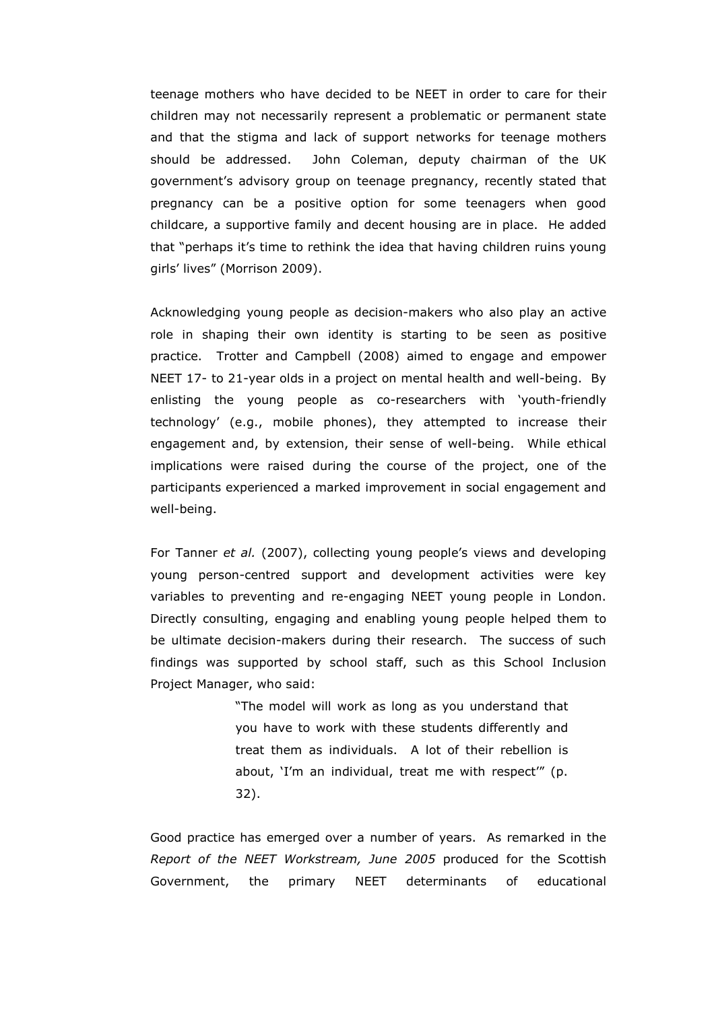teenage mothers who have decided to be NEET in order to care for their children may not necessarily represent a problematic or permanent state and that the stigma and lack of support networks for teenage mothers should be addressed. John Coleman, deputy chairman of the UK government's advisory group on teenage pregnancy, recently stated that pregnancy can be a positive option for some teenagers when good childcare, a supportive family and decent housing are in place. He added that "perhaps it's time to rethink the idea that having children ruins young girls' lives" (Morrison 2009).

 Acknowledging young people as decision-makers who also play an active role in shaping their own identity is starting to be seen as positive practice. Trotter and Campbell (2008) aimed to engage and empower NEET 17- to 21-year olds in a project on mental health and well-being. By enlisting the young people as co-researchers with 'youth-friendly technology' (e.g., mobile phones), they attempted to increase their engagement and, by extension, their sense of well-being. While ethical implications were raised during the course of the project, one of the participants experienced a marked improvement in social engagement and well-being.

For Tanner et al. (2007), collecting young people's views and developing young person-centred support and development activities were key variables to preventing and re-engaging NEET young people in London. Directly consulting, engaging and enabling young people helped them to be ultimate decision-makers during their research. The success of such findings was supported by school staff, such as this School Inclusion Project Manager, who said:

> "The model will work as long as you understand that you have to work with these students differently and treat them as individuals. A lot of their rebellion is about, 'I'm an individual, treat me with respect'" (p. 32).

 Good practice has emerged over a number of years. As remarked in the Report of the NEET Workstream, June 2005 produced for the Scottish Government, the primary NEET determinants of educational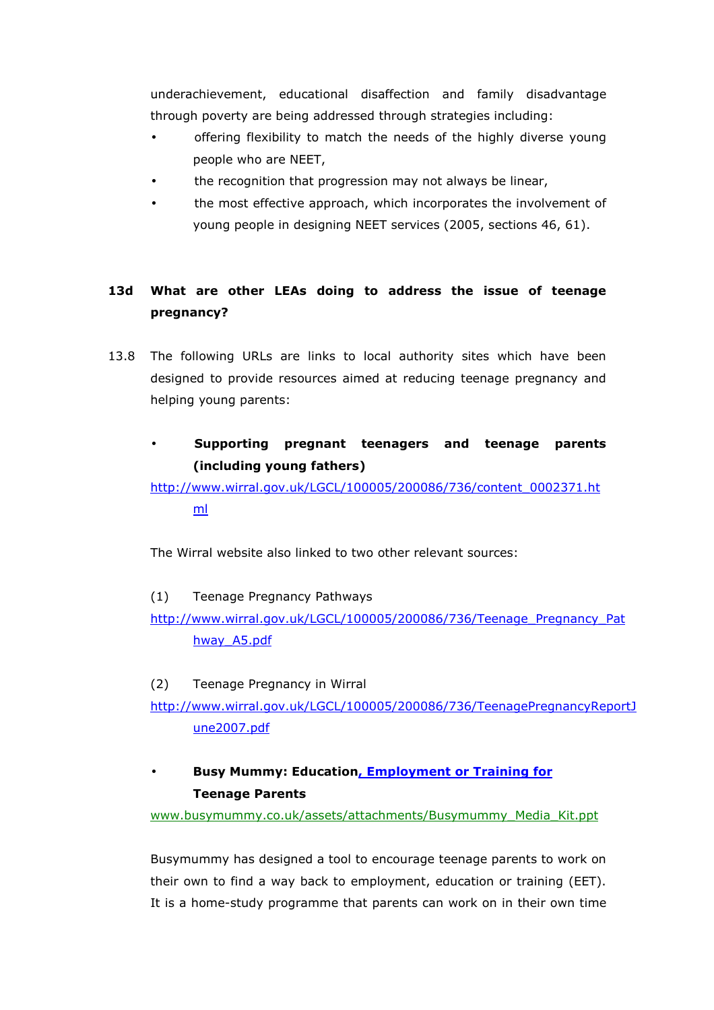underachievement, educational disaffection and family disadvantage through poverty are being addressed through strategies including:

- offering flexibility to match the needs of the highly diverse young people who are NEET,
- the recognition that progression may not always be linear,
- the most effective approach, which incorporates the involvement of young people in designing NEET services (2005, sections 46, 61).

## 13d What are other LEAs doing to address the issue of teenage pregnancy?

- 13.8 The following URLs are links to local authority sites which have been designed to provide resources aimed at reducing teenage pregnancy and helping young parents:
	- Supporting pregnant teenagers and teenage parents (including young fathers)

http://www.wirral.gov.uk/LGCL/100005/200086/736/content\_0002371.ht ml

The Wirral website also linked to two other relevant sources:

## (1) Teenage Pregnancy Pathways

# http://www.wirral.gov.uk/LGCL/100005/200086/736/Teenage\_Pregnancy\_Pat hway\_A5.pdf

(2) Teenage Pregnancy in Wirral

http://www.wirral.gov.uk/LGCL/100005/200086/736/TeenagePregnancyReportJ une2007.pdf

# **Busy Mummy: Education, Employment or Training for** Teenage Parents

www.busymummy.co.uk/assets/attachments/Busymummy\_Media\_Kit.ppt

 Busymummy has designed a tool to encourage teenage parents to work on their own to find a way back to employment, education or training (EET). It is a home-study programme that parents can work on in their own time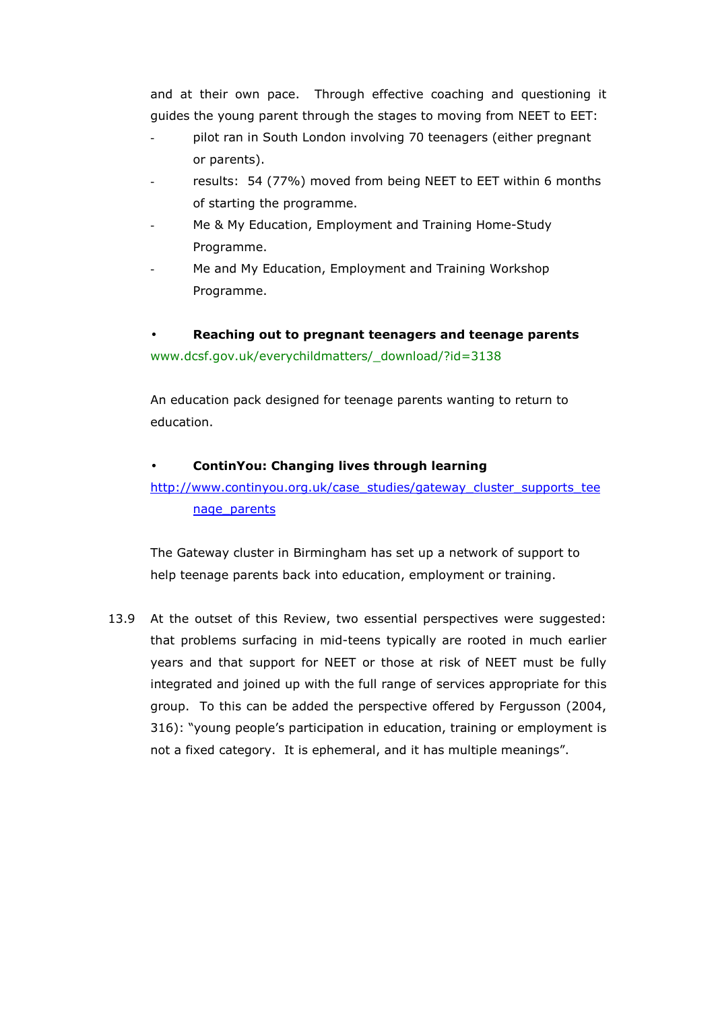and at their own pace. Through effective coaching and questioning it guides the young parent through the stages to moving from NEET to EET:

- pilot ran in South London involving 70 teenagers (either pregnant or parents).
- results: 54 (77%) moved from being NEET to EET within 6 months of starting the programme.
- Me & My Education, Employment and Training Home-Study Programme.
- Me and My Education, Employment and Training Workshop Programme.

Reaching out to pregnant teenagers and teenage parents www.dcsf.gov.uk/everychildmatters/\_download/?id=3138

An education pack designed for teenage parents wanting to return to education.

### • ContinYou: Changing lives through learning

http://www.continyou.org.uk/case\_studies/gateway\_cluster\_supports\_tee nage\_parents

 The Gateway cluster in Birmingham has set up a network of support to help teenage parents back into education, employment or training.

13.9 At the outset of this Review, two essential perspectives were suggested: that problems surfacing in mid-teens typically are rooted in much earlier years and that support for NEET or those at risk of NEET must be fully integrated and joined up with the full range of services appropriate for this group. To this can be added the perspective offered by Fergusson (2004, 316): "young people's participation in education, training or employment is not a fixed category. It is ephemeral, and it has multiple meanings".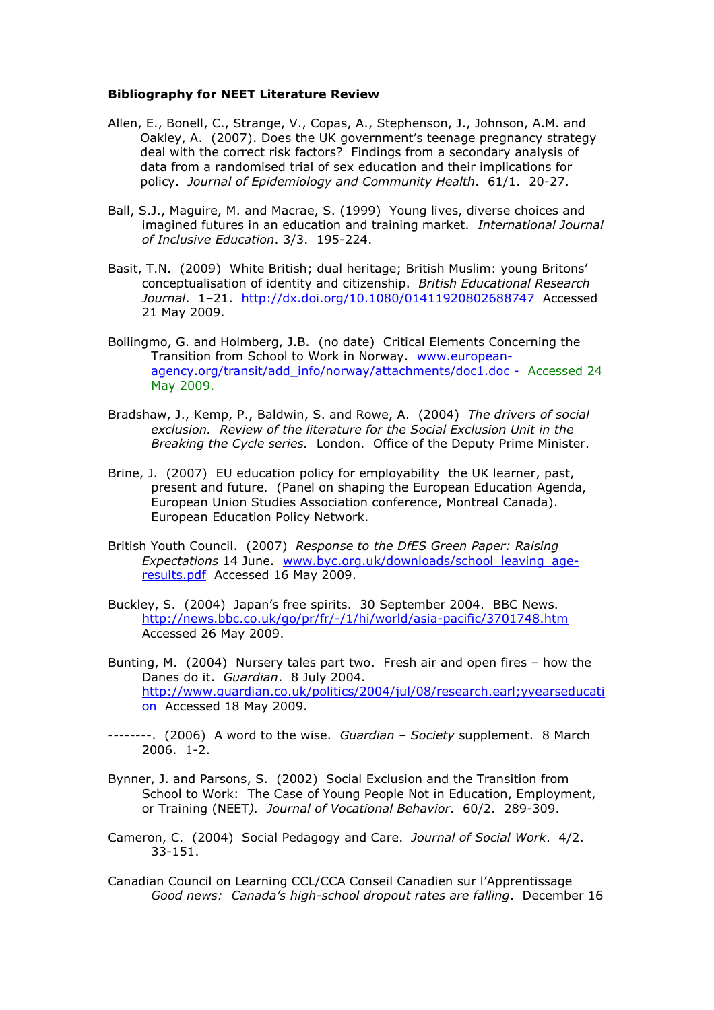#### Bibliography for NEET Literature Review

- Allen, E., Bonell, C., Strange, V., Copas, A., Stephenson, J., Johnson, A.M. and Oakley, A. (2007). Does the UK government's teenage pregnancy strategy deal with the correct risk factors? Findings from a secondary analysis of data from a randomised trial of sex education and their implications for policy. Journal of Epidemiology and Community Health. 61/1. 20-27.
- Ball, S.J., Maguire, M. and Macrae, S. (1999) Young lives, diverse choices and imagined futures in an education and training market. International Journal of Inclusive Education. 3/3. 195-224.
- Basit, T.N. (2009) White British; dual heritage; British Muslim: young Britons' conceptualisation of identity and citizenship. British Educational Research Journal. 1–21. http://dx.doi.org/10.1080/01411920802688747 Accessed 21 May 2009.
- Bollingmo, G. and Holmberg, J.B. (no date) Critical Elements Concerning the Transition from School to Work in Norway. www.europeanagency.org/transit/add\_info/norway/attachments/doc1.doc - Accessed 24 May 2009.
- Bradshaw, J., Kemp, P., Baldwin, S. and Rowe, A. (2004) The drivers of social exclusion. Review of the literature for the Social Exclusion Unit in the Breaking the Cycle series. London. Office of the Deputy Prime Minister.
- Brine, J. (2007) EU education policy for employability the UK learner, past, present and future. (Panel on shaping the European Education Agenda, European Union Studies Association conference, Montreal Canada). European Education Policy Network.
- British Youth Council. (2007) Response to the DfES Green Paper: Raising Expectations 14 June. www.byc.org.uk/downloads/school\_leaving\_ageresults.pdf Accessed 16 May 2009.
- Buckley, S. (2004) Japan's free spirits. 30 September 2004. BBC News. http://news.bbc.co.uk/go/pr/fr/-/1/hi/world/asia-pacific/3701748.htm Accessed 26 May 2009.
- Bunting, M. (2004) Nursery tales part two. Fresh air and open fires how the Danes do it. Guardian. 8 July 2004. http://www.guardian.co.uk/politics/2004/jul/08/research.earl;yyearseducati on Accessed 18 May 2009.
- -------. (2006) A word to the wise. Guardian Society supplement. 8 March 2006. 1-2.
- Bynner, J. and Parsons, S. (2002) Social Exclusion and the Transition from School to Work: The Case of Young People Not in Education, Employment, or Training (NEET). Journal of Vocational Behavior. 60/2. 289-309.
- Cameron, C. (2004) Social Pedagogy and Care. Journal of Social Work. 4/2. 33-151.
- Canadian Council on Learning CCL/CCA Conseil Canadien sur l'Apprentissage Good news: Canada's high-school dropout rates are falling. December 16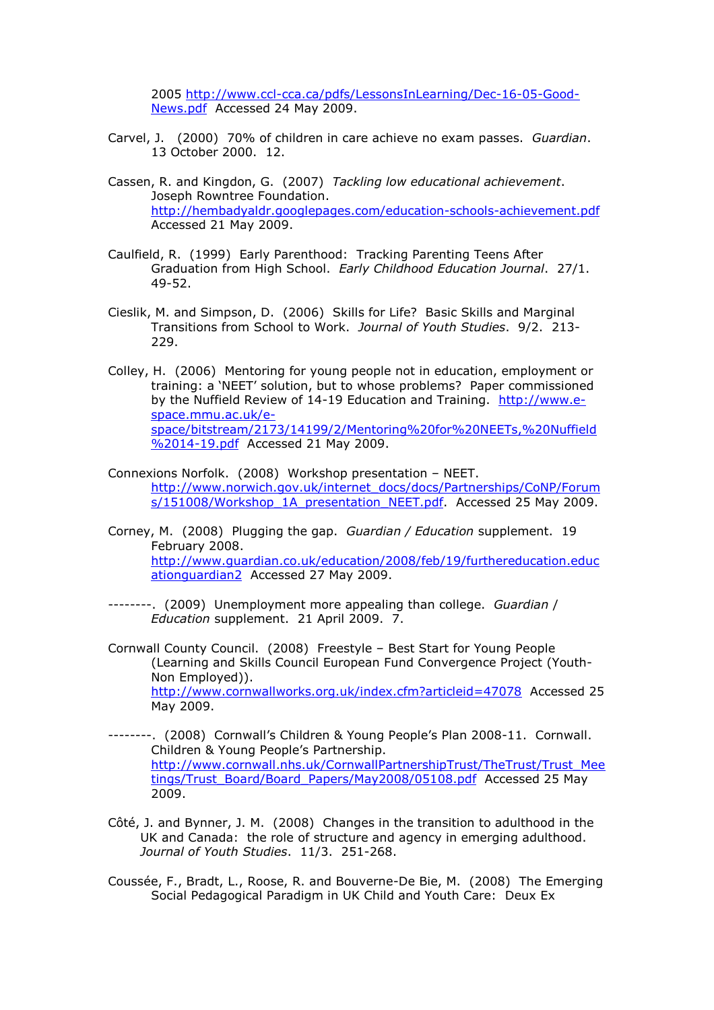2005 http://www.ccl-cca.ca/pdfs/LessonsInLearning/Dec-16-05-Good-News.pdf Accessed 24 May 2009.

- Carvel, J. (2000) 70% of children in care achieve no exam passes. Guardian. 13 October 2000. 12.
- Cassen, R. and Kingdon, G. (2007) Tackling low educational achievement. Joseph Rowntree Foundation. http://hembadyaldr.googlepages.com/education-schools-achievement.pdf Accessed 21 May 2009.
- Caulfield, R. (1999) Early Parenthood: Tracking Parenting Teens After Graduation from High School. Early Childhood Education Journal. 27/1. 49-52.
- Cieslik, M. and Simpson, D. (2006) Skills for Life? Basic Skills and Marginal Transitions from School to Work. Journal of Youth Studies. 9/2. 213- 229.
- Colley, H. (2006) Mentoring for young people not in education, employment or training: a 'NEET' solution, but to whose problems? Paper commissioned by the Nuffield Review of 14-19 Education and Training. http://www.espace.mmu.ac.uk/espace/bitstream/2173/14199/2/Mentoring%20for%20NEETs,%20Nuffield %2014-19.pdf Accessed 21 May 2009.
- Connexions Norfolk. (2008) Workshop presentation NEET. http://www.norwich.gov.uk/internet\_docs/docs/Partnerships/CoNP/Forum s/151008/Workshop\_1A\_presentation\_NEET.pdf. Accessed 25 May 2009.
- Corney, M. (2008) Plugging the gap. Guardian / Education supplement. 19 February 2008. http://www.guardian.co.uk/education/2008/feb/19/furthereducation.educ ationguardian2 Accessed 27 May 2009.
- --------. (2009) Unemployment more appealing than college. Guardian / Education supplement. 21 April 2009. 7.
- Cornwall County Council. (2008) Freestyle Best Start for Young People (Learning and Skills Council European Fund Convergence Project (Youth-Non Employed)). http://www.cornwallworks.org.uk/index.cfm?articleid=47078 Accessed 25 May 2009.
- --------. (2008) Cornwall's Children & Young People's Plan 2008-11. Cornwall. Children & Young People's Partnership. http://www.cornwall.nhs.uk/CornwallPartnershipTrust/TheTrust/Trust\_Mee tings/Trust\_Board/Board\_Papers/May2008/05108.pdf Accessed 25 May 2009.
- Côté, J. and Bynner, J. M. (2008) Changes in the transition to adulthood in the UK and Canada: the role of structure and agency in emerging adulthood. Journal of Youth Studies. 11/3. 251-268.
- Coussée, F., Bradt, L., Roose, R. and Bouverne-De Bie, M. (2008) The Emerging Social Pedagogical Paradigm in UK Child and Youth Care: Deux Ex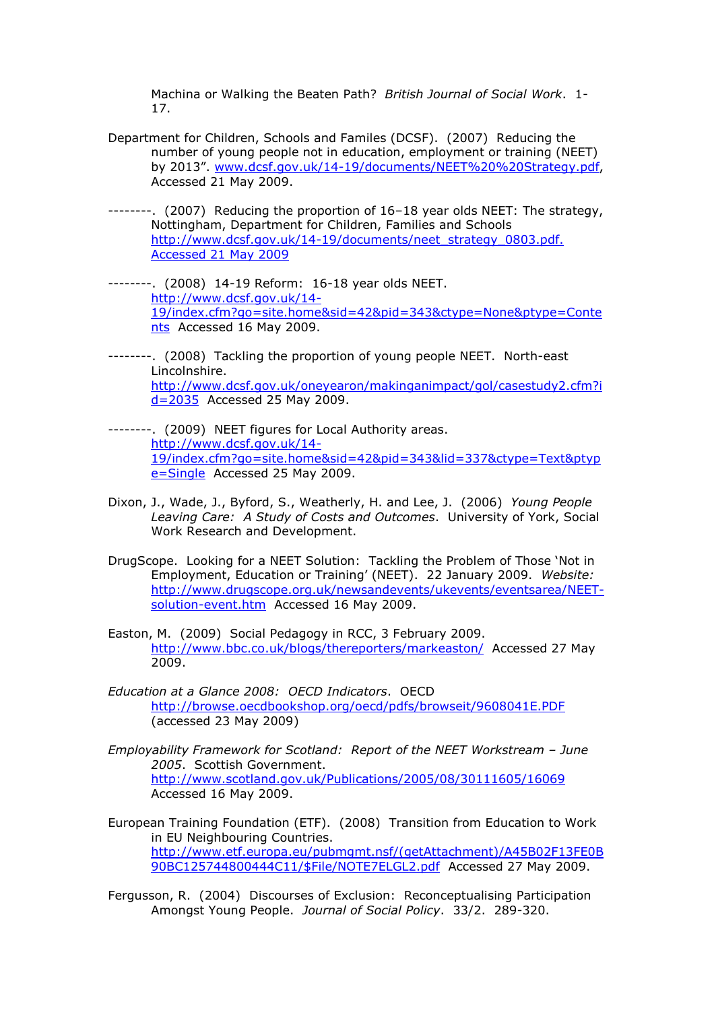Machina or Walking the Beaten Path? British Journal of Social Work. 1-17.

- Department for Children, Schools and Familes (DCSF). (2007) Reducing the number of young people not in education, employment or training (NEET) by 2013". www.dcsf.gov.uk/14-19/documents/NEET%20%20Strategy.pdf, Accessed 21 May 2009.
- --------. (2007) Reducing the proportion of 16–18 year olds NEET: The strategy, Nottingham, Department for Children, Families and Schools http://www.dcsf.gov.uk/14-19/documents/neet\_strategy\_0803.pdf. Accessed 21 May 2009
- --------. (2008) 14-19 Reform: 16-18 year olds NEET. http://www.dcsf.gov.uk/14- 19/index.cfm?go=site.home&sid=42&pid=343&ctype=None&ptype=Conte nts Accessed 16 May 2009.
- --------. (2008) Tackling the proportion of young people NEET. North-east Lincolnshire. http://www.dcsf.gov.uk/oneyearon/makinganimpact/gol/casestudy2.cfm?i  $d=2035$  Accessed 25 May 2009.
- --------. (2009) NEET figures for Local Authority areas. http://www.dcsf.gov.uk/14- 19/index.cfm?go=site.home&sid=42&pid=343&lid=337&ctype=Text&ptyp e=Single Accessed 25 May 2009.
- Dixon, J., Wade, J., Byford, S., Weatherly, H. and Lee, J. (2006) Young People Leaving Care: A Study of Costs and Outcomes. University of York, Social Work Research and Development.
- DrugScope. Looking for a NEET Solution: Tackling the Problem of Those 'Not in Employment, Education or Training' (NEET). 22 January 2009. Website: http://www.drugscope.org.uk/newsandevents/ukevents/eventsarea/NEETsolution-event.htm Accessed 16 May 2009.
- Easton, M. (2009) Social Pedagogy in RCC, 3 February 2009. http://www.bbc.co.uk/blogs/thereporters/markeaston/ Accessed 27 May 2009.
- Education at a Glance 2008: OECD Indicators. OECD http://browse.oecdbookshop.org/oecd/pdfs/browseit/9608041E.PDF (accessed 23 May 2009)
- Employability Framework for Scotland: Report of the NEET Workstream June 2005. Scottish Government. http://www.scotland.gov.uk/Publications/2005/08/30111605/16069 Accessed 16 May 2009.
- European Training Foundation (ETF). (2008) Transition from Education to Work in EU Neighbouring Countries. http://www.etf.europa.eu/pubmgmt.nsf/(getAttachment)/A45B02F13FE0B 90BC125744800444C11/\$File/NOTE7ELGL2.pdf Accessed 27 May 2009.

Fergusson, R. (2004) Discourses of Exclusion: Reconceptualising Participation Amongst Young People. Journal of Social Policy. 33/2. 289-320.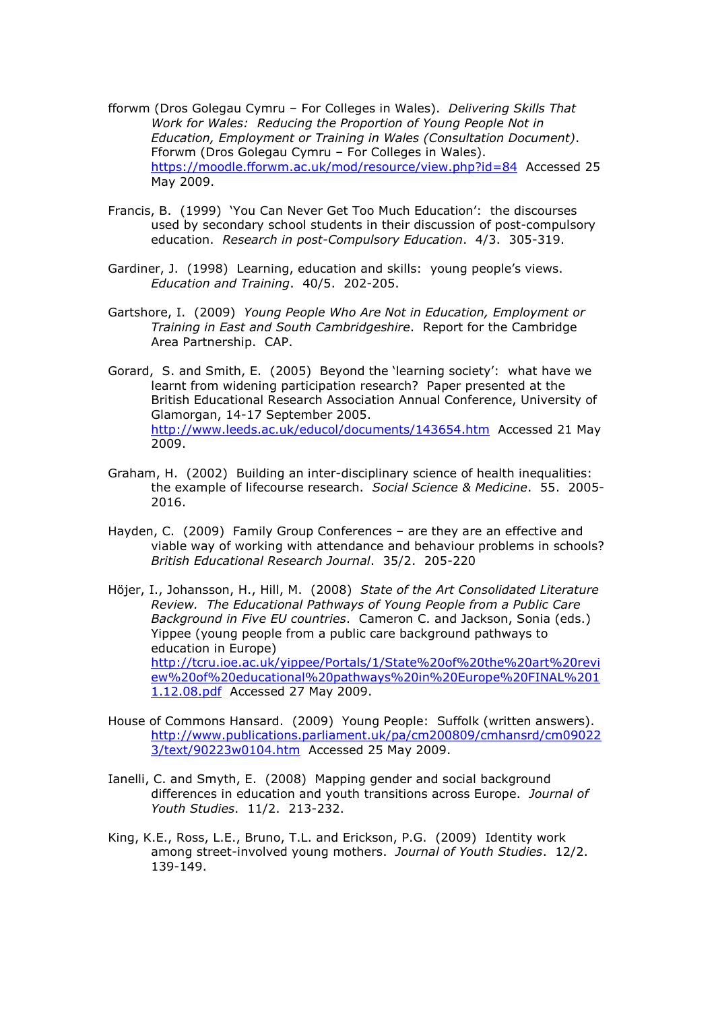- fforwm (Dros Golegau Cymru For Colleges in Wales). Delivering Skills That Work for Wales: Reducing the Proportion of Young People Not in Education, Employment or Training in Wales (Consultation Document). Fforwm (Dros Golegau Cymru – For Colleges in Wales). https://moodle.fforwm.ac.uk/mod/resource/view.php?id=84 Accessed 25 May 2009.
- Francis, B. (1999) 'You Can Never Get Too Much Education': the discourses used by secondary school students in their discussion of post-compulsory education. Research in post-Compulsory Education. 4/3. 305-319.
- Gardiner, J. (1998) Learning, education and skills: young people's views. Education and Training. 40/5. 202-205.
- Gartshore, I. (2009) Young People Who Are Not in Education, Employment or Training in East and South Cambridgeshire. Report for the Cambridge Area Partnership. CAP.
- Gorard, S. and Smith, E. (2005) Beyond the 'learning society': what have we learnt from widening participation research? Paper presented at the British Educational Research Association Annual Conference, University of Glamorgan, 14-17 September 2005. http://www.leeds.ac.uk/educol/documents/143654.htm Accessed 21 May 2009.
- Graham, H. (2002) Building an inter-disciplinary science of health inequalities: the example of lifecourse research. Social Science & Medicine. 55. 2005- 2016.
- Hayden, C. (2009) Family Group Conferences are they are an effective and viable way of working with attendance and behaviour problems in schools? British Educational Research Journal. 35/2. 205-220
- Höjer, I., Johansson, H., Hill, M. (2008) State of the Art Consolidated Literature Review. The Educational Pathways of Young People from a Public Care Background in Five EU countries. Cameron C. and Jackson, Sonia (eds.) Yippee (young people from a public care background pathways to education in Europe) http://tcru.ioe.ac.uk/yippee/Portals/1/State%20of%20the%20art%20revi ew%20of%20educational%20pathways%20in%20Europe%20FINAL%201 1.12.08.pdf Accessed 27 May 2009.
- House of Commons Hansard. (2009) Young People: Suffolk (written answers). http://www.publications.parliament.uk/pa/cm200809/cmhansrd/cm09022 3/text/90223w0104.htm Accessed 25 May 2009.
- Ianelli, C. and Smyth, E. (2008) Mapping gender and social background differences in education and youth transitions across Europe. Journal of Youth Studies. 11/2. 213-232.
- King, K.E., Ross, L.E., Bruno, T.L. and Erickson, P.G. (2009) Identity work among street-involved young mothers. Journal of Youth Studies. 12/2. 139-149.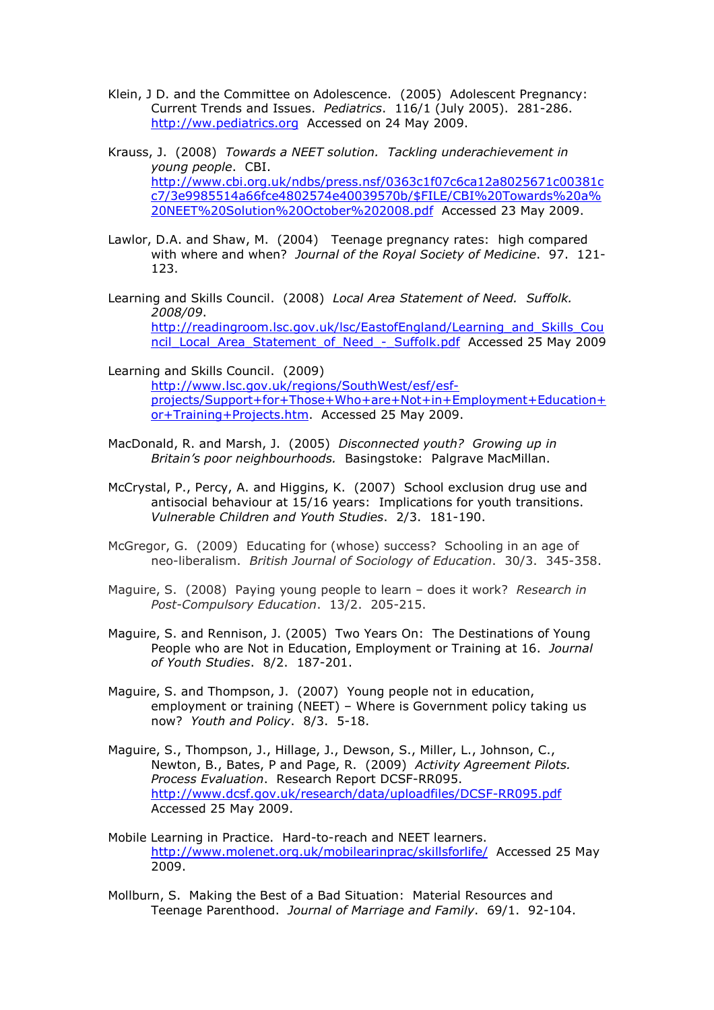- Klein, J D. and the Committee on Adolescence. (2005) Adolescent Pregnancy: Current Trends and Issues. Pediatrics. 116/1 (July 2005). 281-286. http://ww.pediatrics.org Accessed on 24 May 2009.
- Krauss, J. (2008) Towards a NEET solution. Tackling underachievement in young people. CBI. http://www.cbi.org.uk/ndbs/press.nsf/0363c1f07c6ca12a8025671c00381c c7/3e9985514a66fce4802574e40039570b/\$FILE/CBI%20Towards%20a% 20NEET%20Solution%20October%202008.pdf Accessed 23 May 2009.
- Lawlor, D.A. and Shaw, M. (2004) Teenage pregnancy rates: high compared with where and when? Journal of the Royal Society of Medicine. 97. 121-123.
- Learning and Skills Council. (2008) Local Area Statement of Need. Suffolk. 2008/09. http://readingroom.lsc.gov.uk/lsc/EastofEngland/Learning\_and\_Skills\_Cou ncil\_Local\_Area\_Statement\_of\_Need\_-\_Suffolk.pdf Accessed 25 May 2009
- Learning and Skills Council. (2009) http://www.lsc.gov.uk/regions/SouthWest/esf/esfprojects/Support+for+Those+Who+are+Not+in+Employment+Education+ or+Training+Projects.htm. Accessed 25 May 2009.
- MacDonald, R. and Marsh, J. (2005) Disconnected youth? Growing up in Britain's poor neighbourhoods. Basingstoke: Palgrave MacMillan.
- McCrystal, P., Percy, A. and Higgins, K. (2007) School exclusion drug use and antisocial behaviour at 15/16 years: Implications for youth transitions. Vulnerable Children and Youth Studies. 2/3. 181-190.
- McGregor, G. (2009) Educating for (whose) success? Schooling in an age of neo-liberalism. British Journal of Sociology of Education. 30/3. 345-358.
- Maguire, S. (2008) Paying young people to learn does it work? Research in Post-Compulsory Education. 13/2. 205-215.
- Maguire, S. and Rennison, J. (2005) Two Years On: The Destinations of Young People who are Not in Education, Employment or Training at 16. Journal of Youth Studies. 8/2. 187-201.
- Maguire, S. and Thompson, J. (2007) Young people not in education, employment or training (NEET) – Where is Government policy taking us now? Youth and Policy. 8/3. 5-18.
- Maguire, S., Thompson, J., Hillage, J., Dewson, S., Miller, L., Johnson, C., Newton, B., Bates, P and Page, R. (2009) Activity Agreement Pilots. Process Evaluation. Research Report DCSF-RR095. http://www.dcsf.gov.uk/research/data/uploadfiles/DCSF-RR095.pdf Accessed 25 May 2009.
- Mobile Learning in Practice. Hard-to-reach and NEET learners. http://www.molenet.org.uk/mobilearinprac/skillsforlife/ Accessed 25 May 2009.
- Mollburn, S. Making the Best of a Bad Situation: Material Resources and Teenage Parenthood. Journal of Marriage and Family. 69/1. 92-104.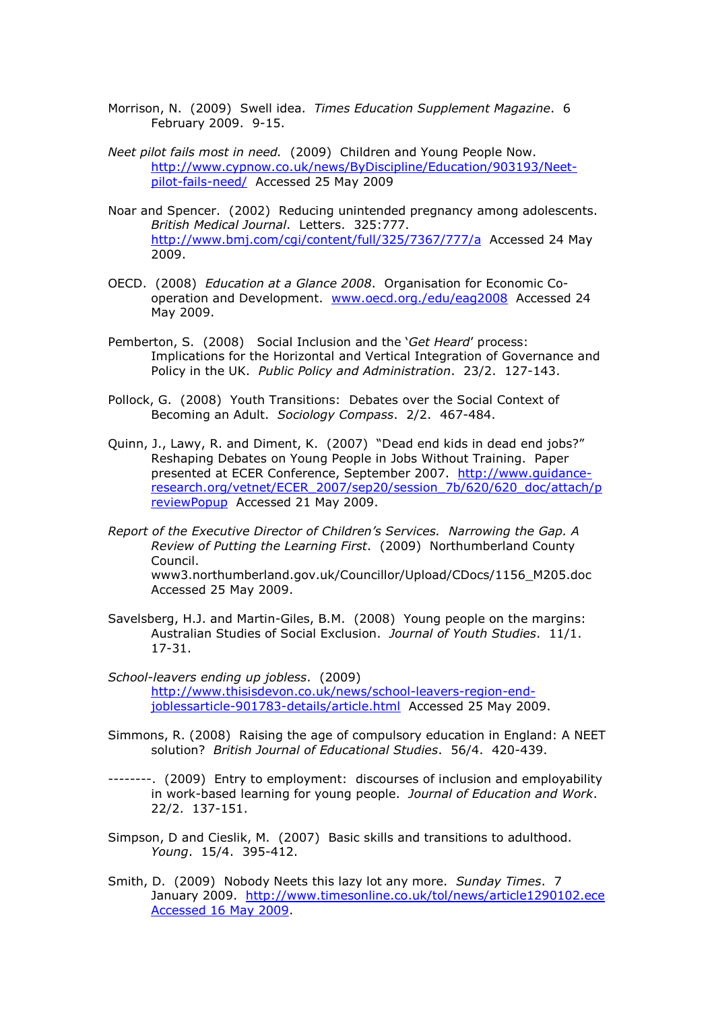- Morrison, N. (2009) Swell idea. Times Education Supplement Magazine. 6 February 2009. 9-15.
- Neet pilot fails most in need. (2009) Children and Young People Now. http://www.cypnow.co.uk/news/ByDiscipline/Education/903193/Neetpilot-fails-need/ Accessed 25 May 2009
- Noar and Spencer. (2002) Reducing unintended pregnancy among adolescents. British Medical Journal. Letters. 325:777. http://www.bmj.com/cgi/content/full/325/7367/777/a Accessed 24 May 2009.
- OECD. (2008) Education at a Glance 2008. Organisation for Economic Cooperation and Development. www.oecd.org./edu/eag2008 Accessed 24 May 2009.
- Pemberton, S. (2008) Social Inclusion and the 'Get Heard' process: Implications for the Horizontal and Vertical Integration of Governance and Policy in the UK. Public Policy and Administration. 23/2. 127-143.
- Pollock, G. (2008) Youth Transitions: Debates over the Social Context of Becoming an Adult. Sociology Compass. 2/2. 467-484.
- Quinn, J., Lawy, R. and Diment, K. (2007) "Dead end kids in dead end jobs?" Reshaping Debates on Young People in Jobs Without Training. Paper presented at ECER Conference, September 2007. http://www.guidanceresearch.org/vetnet/ECER\_2007/sep20/session\_7b/620/620\_doc/attach/p reviewPopup Accessed 21 May 2009.
- Report of the Executive Director of Children's Services. Narrowing the Gap. A Review of Putting the Learning First. (2009) Northumberland County Council. www3.northumberland.gov.uk/Councillor/Upload/CDocs/1156\_M205.doc Accessed 25 May 2009.
- Savelsberg, H.J. and Martin-Giles, B.M. (2008) Young people on the margins: Australian Studies of Social Exclusion. Journal of Youth Studies. 11/1. 17-31.
- School-leavers ending up jobless. (2009) http://www.thisisdevon.co.uk/news/school-leavers-region-endjoblessarticle-901783-details/article.html Accessed 25 May 2009.
- Simmons, R. (2008) Raising the age of compulsory education in England: A NEET solution? British Journal of Educational Studies. 56/4. 420-439.
- --------. (2009) Entry to employment: discourses of inclusion and employability in work-based learning for young people. Journal of Education and Work. 22/2. 137-151.
- Simpson, D and Cieslik, M. (2007) Basic skills and transitions to adulthood. Young. 15/4. 395-412.
- Smith, D. (2009) Nobody Neets this lazy lot any more. Sunday Times. 7 January 2009. http://www.timesonline.co.uk/tol/news/article1290102.ece Accessed 16 May 2009.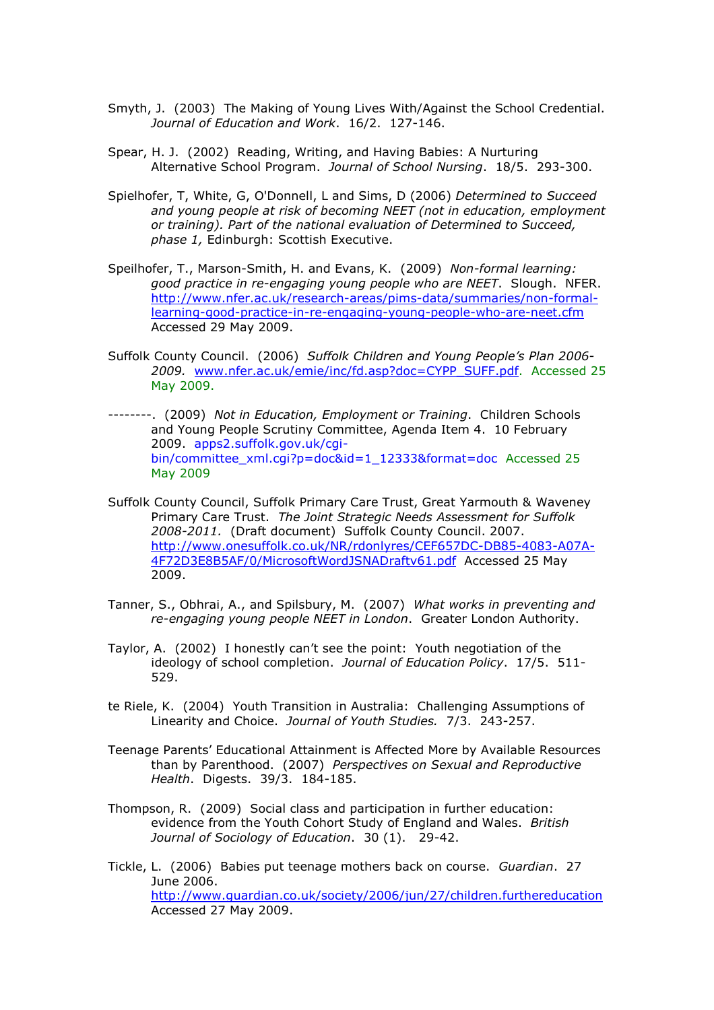- Smyth, J. (2003) The Making of Young Lives With/Against the School Credential. Journal of Education and Work. 16/2. 127-146.
- Spear, H. J. (2002) Reading, Writing, and Having Babies: A Nurturing Alternative School Program. Journal of School Nursing. 18/5. 293-300.
- Spielhofer, T, White, G, O'Donnell, L and Sims, D (2006) Determined to Succeed and young people at risk of becoming NEET (not in education, employment or training). Part of the national evaluation of Determined to Succeed, phase 1, Edinburgh: Scottish Executive.
- Speilhofer, T., Marson-Smith, H. and Evans, K. (2009) Non-formal learning: good practice in re-engaging young people who are NEET. Slough. NFER. http://www.nfer.ac.uk/research-areas/pims-data/summaries/non-formallearning-good-practice-in-re-engaging-young-people-who-are-neet.cfm Accessed 29 May 2009.
- Suffolk County Council. (2006) Suffolk Children and Young People's Plan 2006- 2009. www.nfer.ac.uk/emie/inc/fd.asp?doc=CYPP\_SUFF.pdf. Accessed 25 May 2009.
- --------. (2009) Not in Education, Employment or Training. Children Schools and Young People Scrutiny Committee, Agenda Item 4. 10 February 2009. apps2.suffolk.gov.uk/cgibin/committee\_xml.cgi?p=doc&id=1\_12333&format=doc\_Accessed 25 May 2009
- Suffolk County Council, Suffolk Primary Care Trust, Great Yarmouth & Waveney Primary Care Trust. The Joint Strategic Needs Assessment for Suffolk 2008-2011. (Draft document) Suffolk County Council. 2007. http://www.onesuffolk.co.uk/NR/rdonlyres/CEF657DC-DB85-4083-A07A-4F72D3E8B5AF/0/MicrosoftWordJSNADraftv61.pdf Accessed 25 May 2009.
- Tanner, S., Obhrai, A., and Spilsbury, M. (2007) What works in preventing and re-engaging young people NEET in London. Greater London Authority.
- Taylor, A. (2002) I honestly can't see the point: Youth negotiation of the ideology of school completion. Journal of Education Policy. 17/5. 511- 529.
- te Riele, K. (2004) Youth Transition in Australia: Challenging Assumptions of Linearity and Choice. Journal of Youth Studies. 7/3. 243-257.
- Teenage Parents' Educational Attainment is Affected More by Available Resources than by Parenthood. (2007) Perspectives on Sexual and Reproductive Health. Digests. 39/3. 184-185.
- Thompson, R. (2009) Social class and participation in further education: evidence from the Youth Cohort Study of England and Wales. British Journal of Sociology of Education. 30 (1). 29-42.
- Tickle, L. (2006) Babies put teenage mothers back on course. Guardian. 27 June 2006. http://www.guardian.co.uk/society/2006/jun/27/children.furthereducation Accessed 27 May 2009.